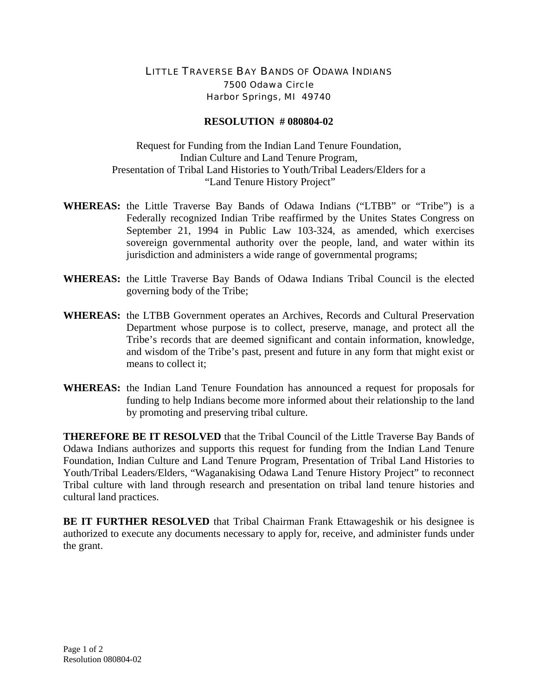## LITTLE TRAVERSE BAY BANDS OF ODAWA INDIANS 7500 Odawa Circle Harbor Springs, MI 49740

## **RESOLUTION # 080804-02**

Request for Funding from the Indian Land Tenure Foundation, Indian Culture and Land Tenure Program, Presentation of Tribal Land Histories to Youth/Tribal Leaders/Elders for a "Land Tenure History Project"

- **WHEREAS:** the Little Traverse Bay Bands of Odawa Indians ("LTBB" or "Tribe") is a Federally recognized Indian Tribe reaffirmed by the Unites States Congress on September 21, 1994 in Public Law 103-324, as amended, which exercises sovereign governmental authority over the people, land, and water within its jurisdiction and administers a wide range of governmental programs;
- **WHEREAS:** the Little Traverse Bay Bands of Odawa Indians Tribal Council is the elected governing body of the Tribe;
- **WHEREAS:** the LTBB Government operates an Archives, Records and Cultural Preservation Department whose purpose is to collect, preserve, manage, and protect all the Tribe's records that are deemed significant and contain information, knowledge, and wisdom of the Tribe's past, present and future in any form that might exist or means to collect it:
- **WHEREAS:** the Indian Land Tenure Foundation has announced a request for proposals for funding to help Indians become more informed about their relationship to the land by promoting and preserving tribal culture.

**THEREFORE BE IT RESOLVED** that the Tribal Council of the Little Traverse Bay Bands of Odawa Indians authorizes and supports this request for funding from the Indian Land Tenure Foundation, Indian Culture and Land Tenure Program, Presentation of Tribal Land Histories to Youth/Tribal Leaders/Elders, "Waganakising Odawa Land Tenure History Project" to reconnect Tribal culture with land through research and presentation on tribal land tenure histories and cultural land practices.

**BE IT FURTHER RESOLVED** that Tribal Chairman Frank Ettawageshik or his designee is authorized to execute any documents necessary to apply for, receive, and administer funds under the grant.